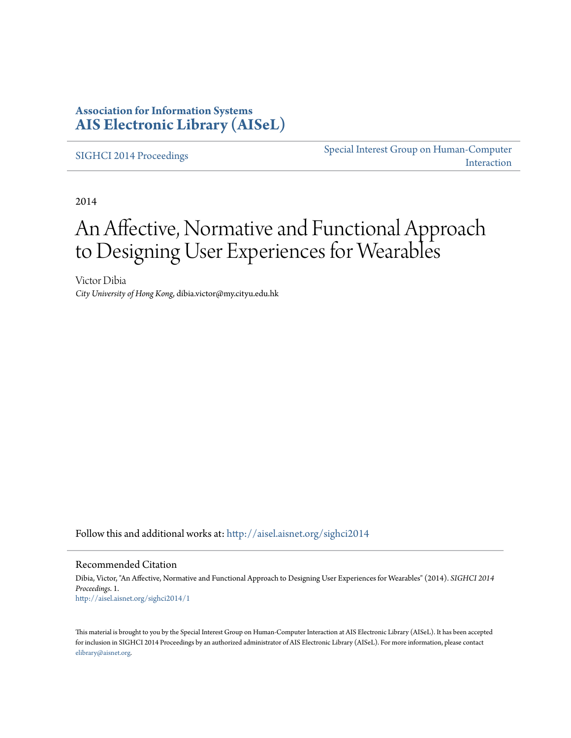### **Association for Information Systems [AIS Electronic Library \(AISeL\)](http://aisel.aisnet.org?utm_source=aisel.aisnet.org%2Fsighci2014%2F1&utm_medium=PDF&utm_campaign=PDFCoverPages)**

[SIGHCI 2014 Proceedings](http://aisel.aisnet.org/sighci2014?utm_source=aisel.aisnet.org%2Fsighci2014%2F1&utm_medium=PDF&utm_campaign=PDFCoverPages)

[Special Interest Group on Human-Computer](http://aisel.aisnet.org/sighci?utm_source=aisel.aisnet.org%2Fsighci2014%2F1&utm_medium=PDF&utm_campaign=PDFCoverPages) [Interaction](http://aisel.aisnet.org/sighci?utm_source=aisel.aisnet.org%2Fsighci2014%2F1&utm_medium=PDF&utm_campaign=PDFCoverPages)

2014

# An Affective, Normative and Functional Approach to Designing User Experiences for Wearables

Victor Dibia *City University of Hong Kong*, dibia.victor@my.cityu.edu.hk

Follow this and additional works at: [http://aisel.aisnet.org/sighci2014](http://aisel.aisnet.org/sighci2014?utm_source=aisel.aisnet.org%2Fsighci2014%2F1&utm_medium=PDF&utm_campaign=PDFCoverPages)

#### Recommended Citation

Dibia, Victor, "An Affective, Normative and Functional Approach to Designing User Experiences for Wearables" (2014). *SIGHCI 2014 Proceedings*. 1. [http://aisel.aisnet.org/sighci2014/1](http://aisel.aisnet.org/sighci2014/1?utm_source=aisel.aisnet.org%2Fsighci2014%2F1&utm_medium=PDF&utm_campaign=PDFCoverPages)

This material is brought to you by the Special Interest Group on Human-Computer Interaction at AIS Electronic Library (AISeL). It has been accepted for inclusion in SIGHCI 2014 Proceedings by an authorized administrator of AIS Electronic Library (AISeL). For more information, please contact [elibrary@aisnet.org.](mailto:elibrary@aisnet.org%3E)